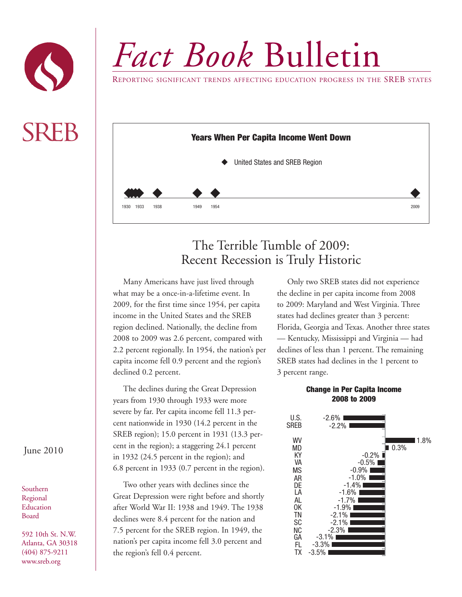

*Fact Book* Bulletin

REPORTING SIGNIFICANT TRENDS AFFECTING EDUCATION PROGRESS IN THE SREB STATES



## The Terrible Tumble of 2009: Recent Recession is Truly Historic

Many Americans have just lived through what may be a once-in-a-lifetime event. In 2009, for the first time since 1954, per capita income in the United States and the SREB region declined. Nationally, the decline from 2008 to 2009 was 2.6 percent, compared with 2.2 percent regionally. In 1954, the nation's per capita income fell 0.9 percent and the region's declined 0.2 percent.

The declines during the Great Depression years from 1930 through 1933 were more severe by far. Per capita income fell 11.3 percent nationwide in 1930 (14.2 percent in the SREB region); 15.0 percent in 1931 (13.3 percent in the region); a staggering 24.1 percent in 1932 (24.5 percent in the region); and 6.8 percent in 1933 (0.7 percent in the region).

Two other years with declines since the Great Depression were right before and shortly after World War II: 1938 and 1949. The 1938 declines were 8.4 percent for the nation and 7.5 percent for the SREB region. In 1949, the nation's per capita income fell 3.0 percent and the region's fell 0.4 percent.

Only two SREB states did not experience the decline in per capita income from 2008 to 2009: Maryland and West Virginia. Three states had declines greater than 3 percent: Florida, Georgia and Texas. Another three states — Kentucky, Mississippi and Virginia — had declines of less than 1 percent. The remaining SREB states had declines in the 1 percent to 3 percent range.

## **Change in Per Capita Income 2008 to 2009**



## June 2010

Southern Regional Education Board

592 10th St. N.W. Atlanta, GA 30318 (404) 875-9211 www.sreb.org